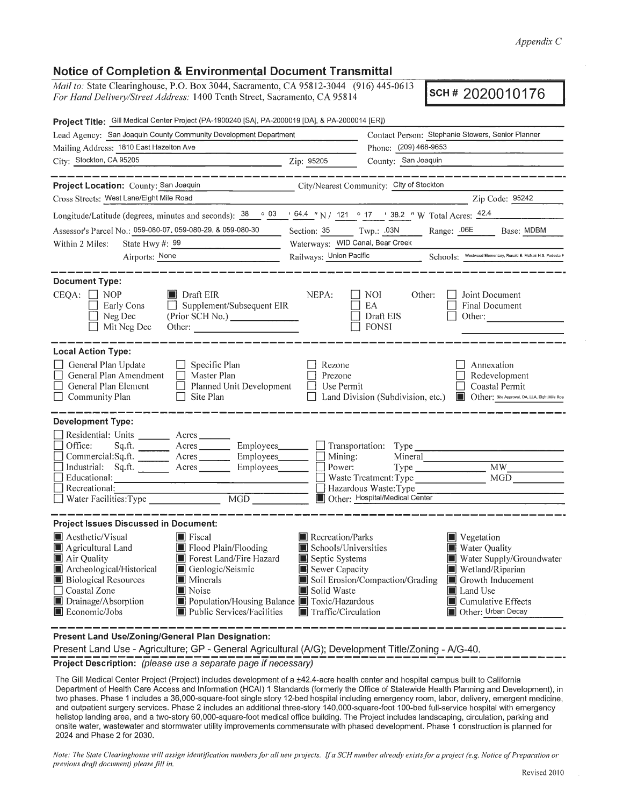*Appendix* C

## **Notice of Completion & Environmental Document Transmittal**

*Mail to: State Clearinghouse, P.O. Box 3044, Sacramento, CA 95812-3044* (916) 445-0613 <br>For Hand Delivery/Street Address: 1400 Tenth Street, Sacramento, CA 95814 **SCH # 2020010176** 

| Project Title: Gill Medical Center Project (PA-1900240 [SA], PA-2000019 [DA], & PA-2000014 [ER])                                                                                                                                                                                                                                                                                                                                                                                                                                        |                                                                                                                                                                 |                                                                                                                                                                                                                                    |  |
|-----------------------------------------------------------------------------------------------------------------------------------------------------------------------------------------------------------------------------------------------------------------------------------------------------------------------------------------------------------------------------------------------------------------------------------------------------------------------------------------------------------------------------------------|-----------------------------------------------------------------------------------------------------------------------------------------------------------------|------------------------------------------------------------------------------------------------------------------------------------------------------------------------------------------------------------------------------------|--|
| Lead Agency: San Joaquin County Community Development Department                                                                                                                                                                                                                                                                                                                                                                                                                                                                        |                                                                                                                                                                 | Contact Person: Stephanie Stowers, Senior Planner<br>Phone: (209) 468-9653                                                                                                                                                         |  |
| Mailing Address: 1810 East Hazelton Ave                                                                                                                                                                                                                                                                                                                                                                                                                                                                                                 |                                                                                                                                                                 |                                                                                                                                                                                                                                    |  |
| City: Stockton, CA 95205<br><u>2ip: 95205</u>                                                                                                                                                                                                                                                                                                                                                                                                                                                                                           |                                                                                                                                                                 | County: San Joaquin                                                                                                                                                                                                                |  |
| -----------<br>Project Location: County: San Joaquin<br>Cross Streets: West Lane/Eight Mile Road                                                                                                                                                                                                                                                                                                                                                                                                                                        |                                                                                                                                                                 | City/Nearest Community: City of Stockton<br>Zip Code: 95242                                                                                                                                                                        |  |
|                                                                                                                                                                                                                                                                                                                                                                                                                                                                                                                                         |                                                                                                                                                                 |                                                                                                                                                                                                                                    |  |
| Longitude/Latitude (degrees, minutes and seconds): $\frac{38}{9}$ $\frac{03}{1644}$ $\frac{64.4}{17}$ N / $\frac{121}{121}$ $\frac{0}{17}$ $\frac{17}{1682}$ W Total Acres: $\frac{42.4}{124}$                                                                                                                                                                                                                                                                                                                                          |                                                                                                                                                                 |                                                                                                                                                                                                                                    |  |
| Assessor's Parcel No.: 059-080-07, 059-080-29, & 059-080-30                                                                                                                                                                                                                                                                                                                                                                                                                                                                             | Waterways: WID Canal, Bear Creek                                                                                                                                | Section: 35 Twp.: .03N Range: .06E Base: MDBM                                                                                                                                                                                      |  |
| State Hwy $\#: 99$<br>Within 2 Miles:<br>Airports: None                                                                                                                                                                                                                                                                                                                                                                                                                                                                                 |                                                                                                                                                                 | Railways: Union Pacific Schools: Westwood Elementary, Ronald E. McNair H.S. Podesta                                                                                                                                                |  |
|                                                                                                                                                                                                                                                                                                                                                                                                                                                                                                                                         |                                                                                                                                                                 |                                                                                                                                                                                                                                    |  |
| <b>Document Type:</b><br>$CEQA:$ NOP<br>$\blacksquare$ Draft EIR<br>$\Box$ Supplement/Subsequent EIR<br>Early Cons<br>(Prior SCH No.)<br>Neg Dec<br>Mit Neg Dec<br>Other:                                                                                                                                                                                                                                                                                                                                                               | NEPA:                                                                                                                                                           | NOI —<br>Joint Document<br>Other:<br>$\perp$<br>EA<br>Final Document<br>Draft EIS<br>Other:<br><b>FONSI</b>                                                                                                                        |  |
| <b>Local Action Type:</b><br>General Plan Update<br>$\Box$ Specific Plan<br>General Plan Amendment □ Master Plan<br>$\Box$ Planned Unit Development<br>General Plan Element<br>Community Plan<br>$\Box$ Site Plan                                                                                                                                                                                                                                                                                                                       | Rezone<br>Prezone<br>$\Box$ Use Permit                                                                                                                          | Annexation<br>Redevelopment<br>$\Box$ Coastal Permit<br>□ Land Division (Subdivision, etc.) ■ Other: Site Approval, DA, LLA, Elght Mile Roa                                                                                        |  |
| <b>Development Type:</b><br>Residential: Units ________ Acres __<br>Sq.ft. ________ Acres _________ Employees _______ __ Transportation: Type _________________________<br>Office:<br>$\Box$ Commercial:Sq.ft. $\Box$ Acres $\Box$ Employees $\Box$ Mining:<br>Industrial: Sq.ft. _______ Acres _______ Employees_______ __ Power:<br>Educational:<br><u> 1990 - Jan James James Barnett, militar et al. 1990 - provincia est al provincia est al provincia est al pro</u><br>Recreational:<br>$\Box$ Water Facilities: Type<br>MGD NGC |                                                                                                                                                                 | Mineral<br>Waste Treatment: Type MGD<br>$\Box$ Hazardous Waste: Type<br>Other: Hospital/Medical Center                                                                                                                             |  |
| <b>Project Issues Discussed in Document:</b>                                                                                                                                                                                                                                                                                                                                                                                                                                                                                            |                                                                                                                                                                 |                                                                                                                                                                                                                                    |  |
| Aesthetic/Visual<br>$\blacksquare$ Fiscal<br>Agricultural Land<br>Flood Plain/Flooding<br>Air Quality<br>Forest Land/Fire Hazard<br>Archeological/Historical<br>Geologic/Seismic<br><b>Biological Resources</b><br><b>I</b> Minerals<br>Coastal Zone<br>$\blacksquare$ Noise<br>Drainage/Absorption<br>$\Box$ Population/Housing Balance $\Box$ Toxic/Hazardous<br>Economic/Jobs<br>$\blacksquare$ Public Services/Facilities                                                                                                           | $\blacksquare$ Recreation/Parks<br>$\blacksquare$ Schools/Universities<br>Septic Systems<br>Sewer Capacity<br>Solid Waste<br>$\blacksquare$ Traffic/Circulation | $\blacksquare$ Vegetation<br>Water Quality<br>Water Supply/Groundwater<br><b>I</b> Wetland/Riparian<br>Soil Erosion/Compaction/Grading<br>Growth Inducement<br>Land Use<br>$\blacksquare$ Cumulative Effects<br>Other: Urban Decay |  |

**Present Land Use/Zoning/General Plan Designation:** 

Present Land Use - Agriculture; GP - General Agricultural (A/G); Development Title/Zoning - A/G-40.

Project Description: (please use a separate page if necessary)<br>
Project Description: (please use a separate page if necessary)

The Gill Medical Center Project (Project) includes development of a ±42.4-acre health center and hospital campus built to California Department of Health Care Access and Information (HCAI) 1 Standards (formerly the Office of Statewide Health Planning and Development), in two phases. Phase 1 includes a 36,000-square-foot single story 12-bed hospital including emergency room, labor, delivery, emergent medicine, and outpatient surgery services . Phase 2 includes an additional three-story 140,000-square-foot 100-bed full-service hospital with emergency helistop landing area, and a two-story 60,000-square-foot medical office building. The Project includes landscaping, circulation, parking and onsite water, wastewater and stormwater utility improvements commensurate with phased development. Phase 1 construction is planned for 2024 and Phase 2 for 2030.

*Note: The State Clearinghouse will assign identification numbers for all new projects. If a SCH number already exists for a project (e.g. Notice of Preparation or previous draft document) please.fill in.*